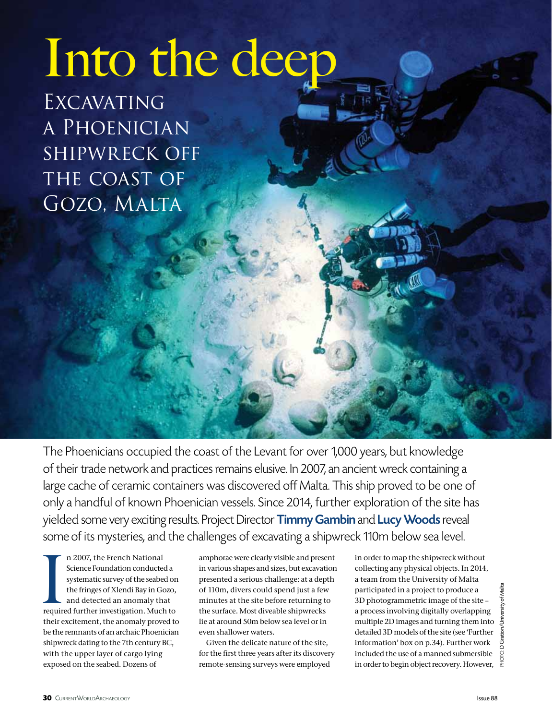# Into the deep

EXCAVATING a Phoenician shipwreck off THE COAST OF Gozo, Malta

The Phoenicians occupied the coast of the Levant for over 1,000 years, but knowledge of their trade network and practices remains elusive. In 2007, an ancient wreck containing a large cache of ceramic containers was discovered off Malta. This ship proved to be one of only a handful of known Phoenician vessels. Since 2014, further exploration of the site has yielded some very exciting results. Project Director Timmy Gambin and Lucy Woods reveal some of its mysteries, and the challenges of excavating a shipwreck 110m below sea level.

n 2007, the French National<br>Science Foundation conducted a<br>systematic survey of the seabed on<br>the fringes of Xlendi Bay in Gozo,<br>and detected an anomaly that<br>required further investigation. Much to n 2007, the French National Science Foundation conducted a systematic survey of the seabed on the fringes of Xlendi Bay in Gozo, and detected an anomaly that their excitement, the anomaly proved to be the remnants of an archaic Phoenician shipwreck dating to the 7th century BC, with the upper layer of cargo lying exposed on the seabed. Dozens of

amphorae were clearly visible and present in various shapes and sizes, but excavation presented a serious challenge: at a depth of 110m, divers could spend just a few minutes at the site before returning to the surface. Most diveable shipwrecks lie at around 50m below sea level or in even shallower waters.

Given the delicate nature of the site, for the first three years after its discovery remote-sensing surveys were employed

in order to map the shipwreck without collecting any physical objects. In 2014, a team from the University of Malta participated in a project to produce a 3D photogrammetric image of the site – a process involving digitally overlapping multiple 2D images and turning them into detailed 3D models of the site (see 'Further information' box on p.34). Further work included the use of a manned submersible in order to begin object recovery. However,  $\frac{4}{6}$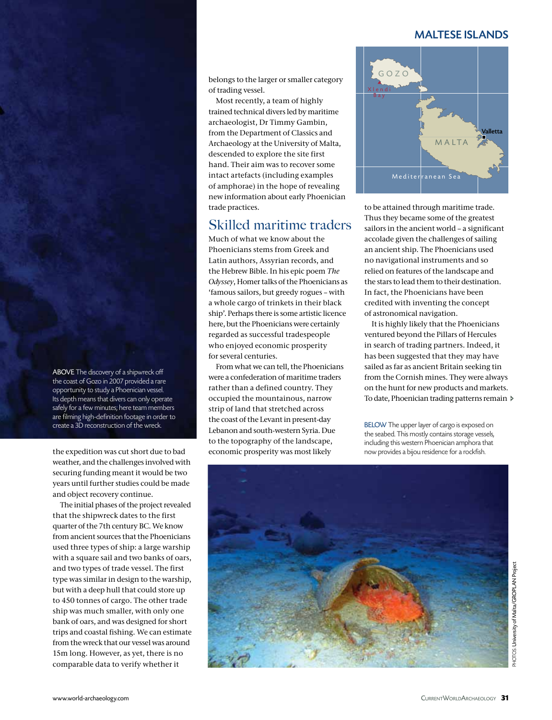#### maltese islands

belongs to the larger or smaller category of trading vessel.

Most recently, a team of highly trained technical divers led by maritime archaeologist, Dr Timmy Gambin, from the Department of Classics and Archaeology at the University of Malta, descended to explore the site first hand. Their aim was to recover some intact artefacts (including examples of amphorae) in the hope of revealing new information about early Phoenician trade practices.

## Skilled maritime traders

Much of what we know about the Phoenicians stems from Greek and Latin authors, Assyrian records, and the Hebrew Bible. In his epic poem *The Odyssey*, Homer talks of the Phoenicians as 'famous sailors, but greedy rogues – with a whole cargo of trinkets in their black ship'. Perhaps there is some artistic licence here, but the Phoenicians were certainly regarded as successful tradespeople who enjoyed economic prosperity for several centuries.

From what we can tell, the Phoenicians were a confederation of maritime traders rather than a defined country. They occupied the mountainous, narrow strip of land that stretched across the coast of the Levant in present-day Lebanon and south-western Syria. Due to the topography of the landscape, economic prosperity was most likely



to be attained through maritime trade. Thus they became some of the greatest sailors in the ancient world – a significant accolade given the challenges of sailing an ancient ship. The Phoenicians used no navigational instruments and so relied on features of the landscape and the stars to lead them to their destination. In fact, the Phoenicians have been credited with inventing the concept of astronomical navigation.

It is highly likely that the Phoenicians ventured beyond the Pillars of Hercules in search of trading partners. Indeed, it has been suggested that they may have sailed as far as ancient Britain seeking tin from the Cornish mines. They were always on the hunt for new products and markets. To date, Phoenician trading patterns remain >

BELOW The upper layer of cargo is exposed on the seabed. This mostly contains storage vessels, including this western Phoenician amphora that now provides a bijou residence for a rockfish.



ABOVE The discovery of a shipwreck off the coast of Gozo in 2007 provided a rare opportunity to study a Phoenician vessel. Its depth means that divers can only operate safely for a few minutes; here team members are filming high-definition footage in order to create a 3D reconstruction of the wreck.

the expedition was cut short due to bad weather, and the challenges involved with securing funding meant it would be two years until further studies could be made and object recovery continue.

The initial phases of the project revealed that the shipwreck dates to the first quarter of the 7th century BC. We know from ancient sources that the Phoenicians used three types of ship: a large warship with a square sail and two banks of oars, and two types of trade vessel. The first type was similar in design to the warship, but with a deep hull that could store up to 450 tonnes of cargo. The other trade ship was much smaller, with only one bank of oars, and was designed for short trips and coastal fishing. We can estimate from the wreck that our vessel was around 15m long. However, as yet, there is no comparable data to verify whether it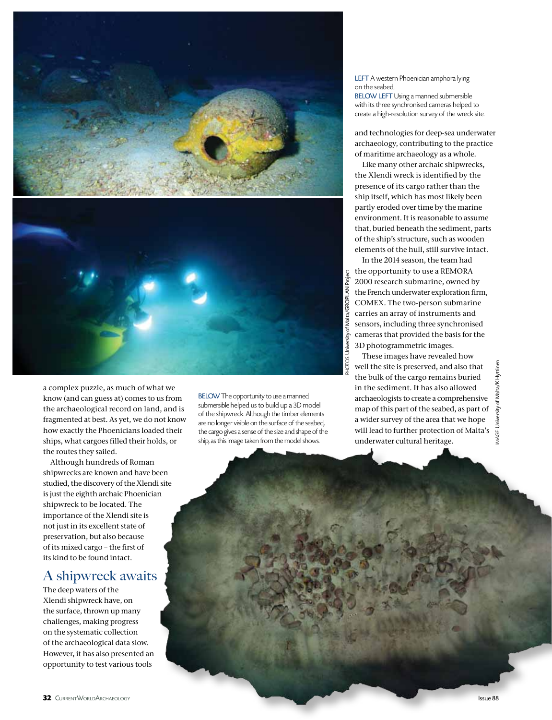

a complex puzzle, as much of what we know (and can guess at) comes to us from the archaeological record on land, and is fragmented at best. As yet, we do not know how exactly the Phoenicians loaded their ships, what cargoes filled their holds, or the routes they sailed.

Although hundreds of Roman shipwrecks are known and have been studied, the discovery of the Xlendi site is just the eighth archaic Phoenician shipwreck to be located. The importance of the Xlendi site is not just in its excellent state of preservation, but also because of its mixed cargo – the first of its kind to be found intact.

## A shipwreck awaits

The deep waters of the Xlendi shipwreck have, on the surface, thrown up many challenges, making progress on the systematic collection of the archaeological data slow. However, it has also presented an opportunity to test various tools

BELOW The opportunity to use a manned submersible helped us to build up a 3D model of the shipwreck. Although the timber elements are no longer visible on the surface of the seabed, the cargo gives a sense of the size and shape of the ship, as this image taken from the model shows.

LEFT A western Phoenician amphora lying on the seabed. **BELOW LEFT Using a manned submersible** with its three synchronised cameras helped to create a high-resolution survey of the wreck site.

and technologies for deep-sea underwater archaeology, contributing to the practice of maritime archaeology as a whole.

Like many other archaic shipwrecks, the Xlendi wreck is identified by the presence of its cargo rather than the ship itself, which has most likely been partly eroded over time by the marine environment. It is reasonable to assume that, buried beneath the sediment, parts of the ship's structure, such as wooden elements of the hull, still survive intact.

In the 2014 season, the team had the opportunity to use a REMORA 2000 research submarine, owned by the French underwater exploration firm, COMEX. The two-person submarine carries an array of instruments and sensors, including three synchronised cameras that provided the basis for the 3D photogrammetric images.

These images have revealed how well the site is preserved, and also that the bulk of the cargo remains buried in the sediment. It has also allowed archaeologists to create a comprehensive map of this part of the seabed, as part of a wider survey of the area that we hope will lead to further protection of Malta's underwater cultural heritage.



PHOTOs: University of Malta/GROPLAN Project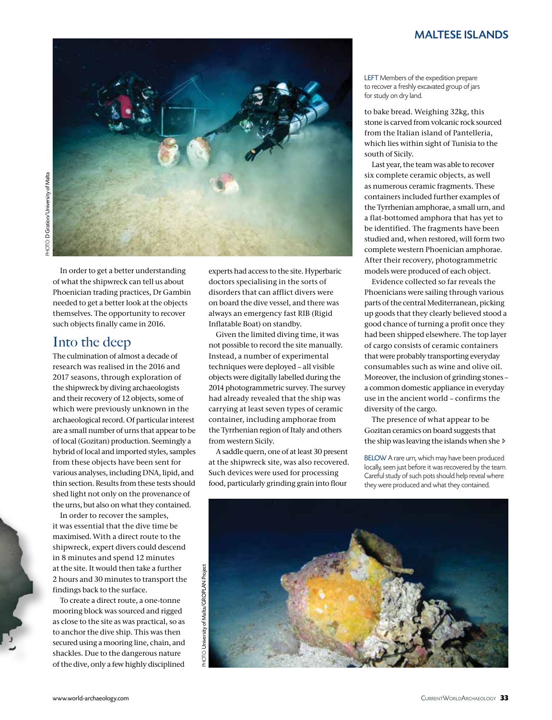#### maltese islands



In order to get a better understanding of what the shipwreck can tell us about Phoenician trading practices, Dr Gambin needed to get a better look at the objects themselves. The opportunity to recover such objects finally came in 2016.

## Into the deep

The culmination of almost a decade of research was realised in the 2016 and 2017 seasons, through exploration of the shipwreck by diving archaeologists and their recovery of 12 objects, some of which were previously unknown in the archaeological record. Of particular interest are a small number of urns that appear to be of local (Gozitan) production. Seemingly a hybrid of local and imported styles, samples from these objects have been sent for various analyses, including DNA, lipid, and thin section. Results from these tests should shed light not only on the provenance of the urns, but also on what they contained.

In order to recover the samples, it was essential that the dive time be maximised. With a direct route to the shipwreck, expert divers could descend in 8 minutes and spend 12 minutes at the site. It would then take a further 2 hours and 30 minutes to transport the findings back to the surface.

To create a direct route, a one-tonne mooring block was sourced and rigged as close to the site as was practical, so as to anchor the dive ship. This was then secured using a mooring line, chain, and shackles. Due to the dangerous nature of the dive, only a few highly disciplined

experts had access to the site. Hyperbaric doctors specialising in the sorts of disorders that can afflict divers were on board the dive vessel, and there was always an emergency fast RIB (Rigid Inflatable Boat) on standby.

Given the limited diving time, it was not possible to record the site manually. Instead, a number of experimental techniques were deployed – all visible objects were digitally labelled during the 2014 photogrammetric survey. The survey had already revealed that the ship was carrying at least seven types of ceramic container, including amphorae from the Tyrrhenian region of Italy and others from western Sicily.

A saddle quern, one of at least 30 present at the shipwreck site, was also recovered. Such devices were used for processing food, particularly grinding grain into flour

LEFT Members of the expedition prepare to recover a freshly excavated group of jars for study on dry land.

to bake bread. Weighing 32kg, this stone is carved from volcanic rock sourced from the Italian island of Pantelleria, which lies within sight of Tunisia to the south of Sicily.

Last year, the team was able to recover six complete ceramic objects, as well as numerous ceramic fragments. These containers included further examples of the Tyrrhenian amphorae, a small urn, and a flat-bottomed amphora that has yet to be identified. The fragments have been studied and, when restored, will form two complete western Phoenician amphorae. After their recovery, photogrammetric models were produced of each object.

Evidence collected so far reveals the Phoenicians were sailing through various parts of the central Mediterranean, picking up goods that they clearly believed stood a good chance of turning a profit once they had been shipped elsewhere. The top layer of cargo consists of ceramic containers that were probably transporting everyday consumables such as wine and olive oil. Moreover, the inclusion of grinding stones – a common domestic appliance in everyday use in the ancient world – confirms the diversity of the cargo.

The presence of what appear to be Gozitan ceramics on board suggests that the ship was leaving the islands when she

BELOW A rare urn, which may have been produced locally, seen just before it was recovered by the team. Careful study of such pots should help reveal where they were produced and what they contained.